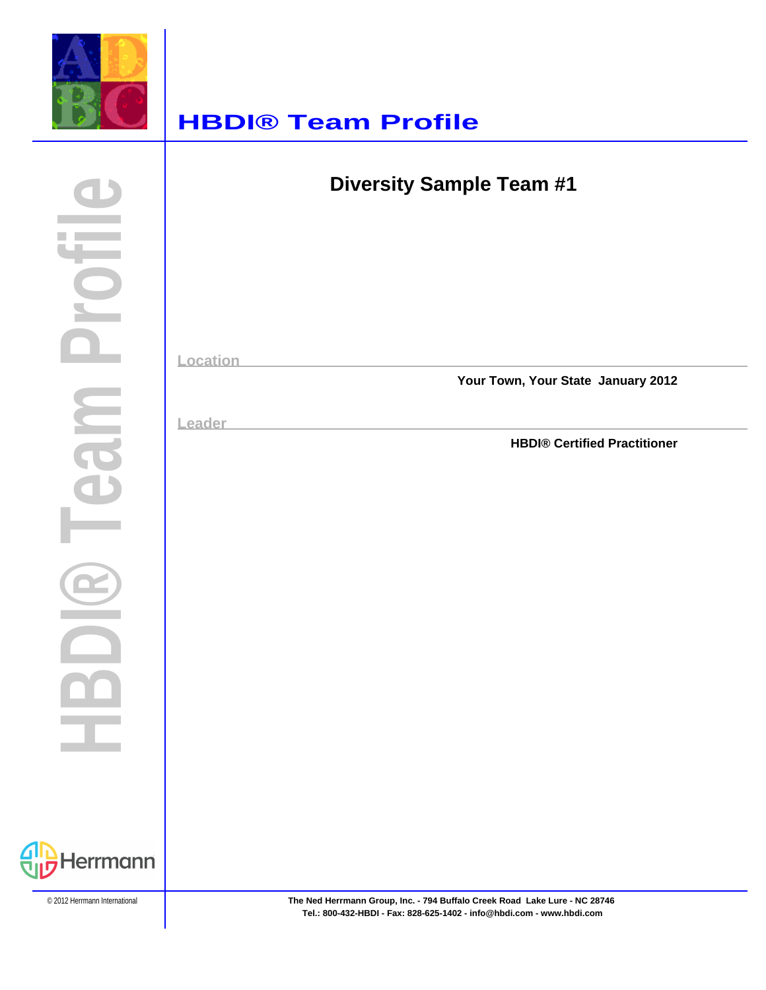

### **HBDI® Team Profile**

| <b>Diversity Sample Team #1</b>              |
|----------------------------------------------|
|                                              |
|                                              |
| Location                                     |
| Your Town, Your State January 2012<br>Leader |
| <b>HBDI® Certified Practitioner</b>          |
|                                              |
|                                              |
|                                              |
|                                              |
|                                              |

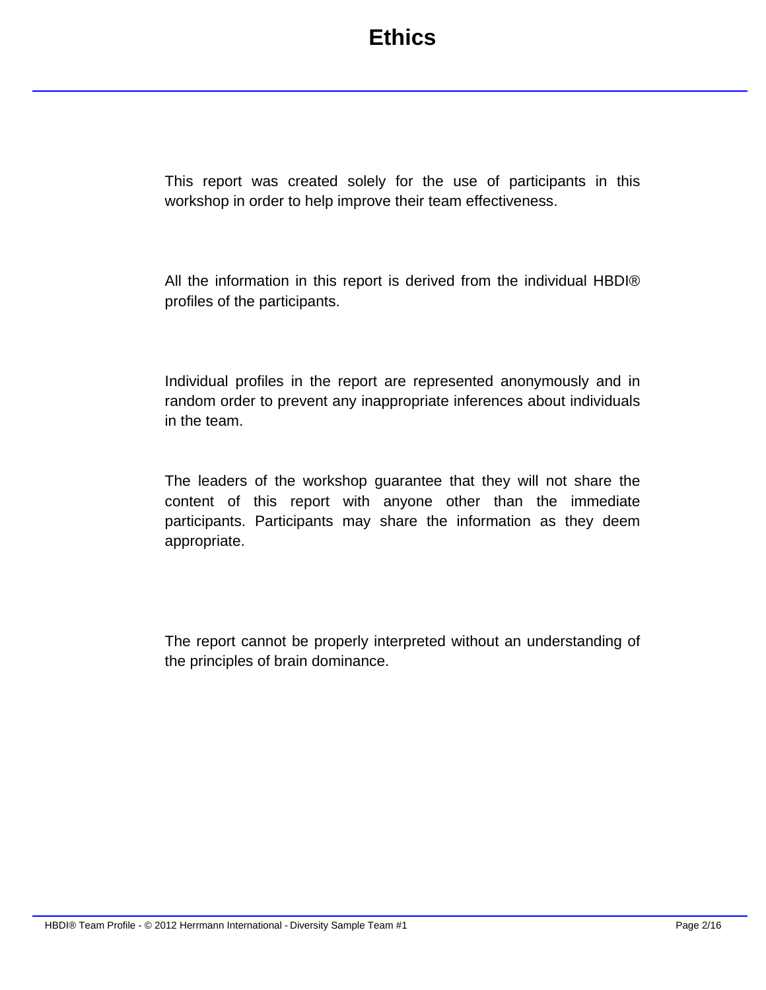This report was created solely for the use of participants in this workshop in order to help improve their team effectiveness.

All the information in this report is derived from the individual HBDI® profiles of the participants.

Individual profiles in the report are represented anonymously and in random order to prevent any inappropriate inferences about individuals in the team.

The leaders of the workshop guarantee that they will not share the content of this report with anyone other than the immediate participants. Participants may share the information as they deem appropriate.

The report cannot be properly interpreted without an understanding of the principles of brain dominance.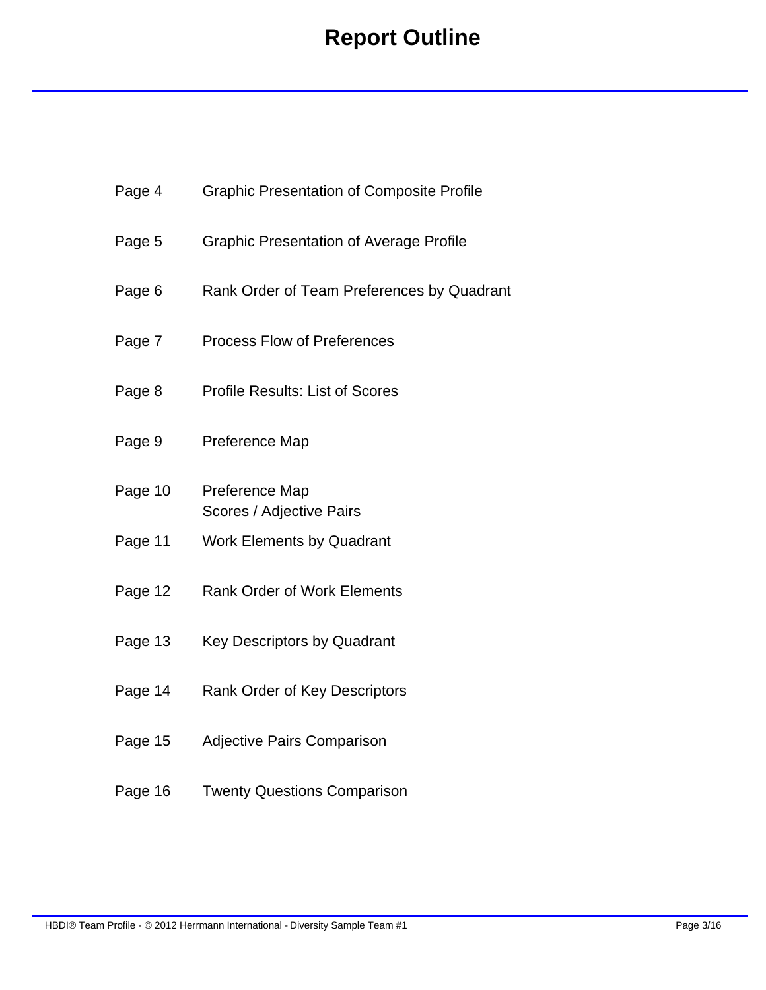# **Report Outline**

| Page 4  | <b>Graphic Presentation of Composite Profile</b> |
|---------|--------------------------------------------------|
| Page 5  | <b>Graphic Presentation of Average Profile</b>   |
| Page 6  | Rank Order of Team Preferences by Quadrant       |
| Page 7  | <b>Process Flow of Preferences</b>               |
| Page 8  | <b>Profile Results: List of Scores</b>           |
| Page 9  | Preference Map                                   |
| Page 10 | Preference Map<br>Scores / Adjective Pairs       |
| Page 11 | <b>Work Elements by Quadrant</b>                 |
| Page 12 | <b>Rank Order of Work Elements</b>               |
| Page 13 | <b>Key Descriptors by Quadrant</b>               |
| Page 14 | Rank Order of Key Descriptors                    |
| Page 15 | <b>Adjective Pairs Comparison</b>                |
| Page 16 | <b>Twenty Questions Comparison</b>               |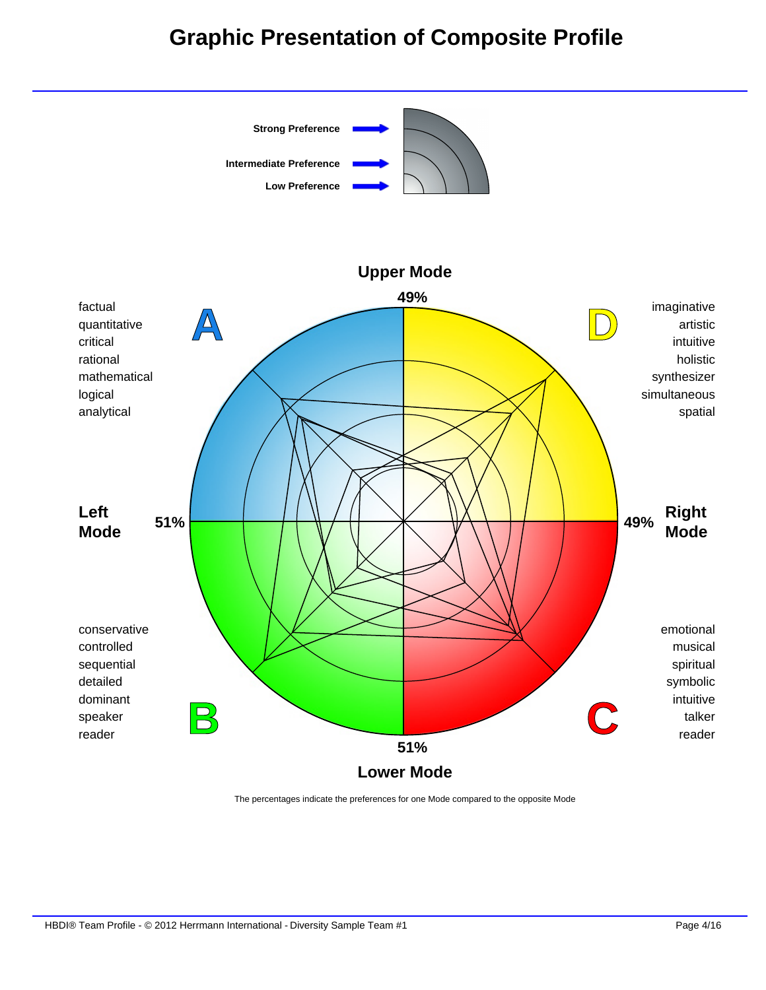### **Graphic Presentation of Composite Profile**



The percentages indicate the preferences for one Mode compared to the opposite Mode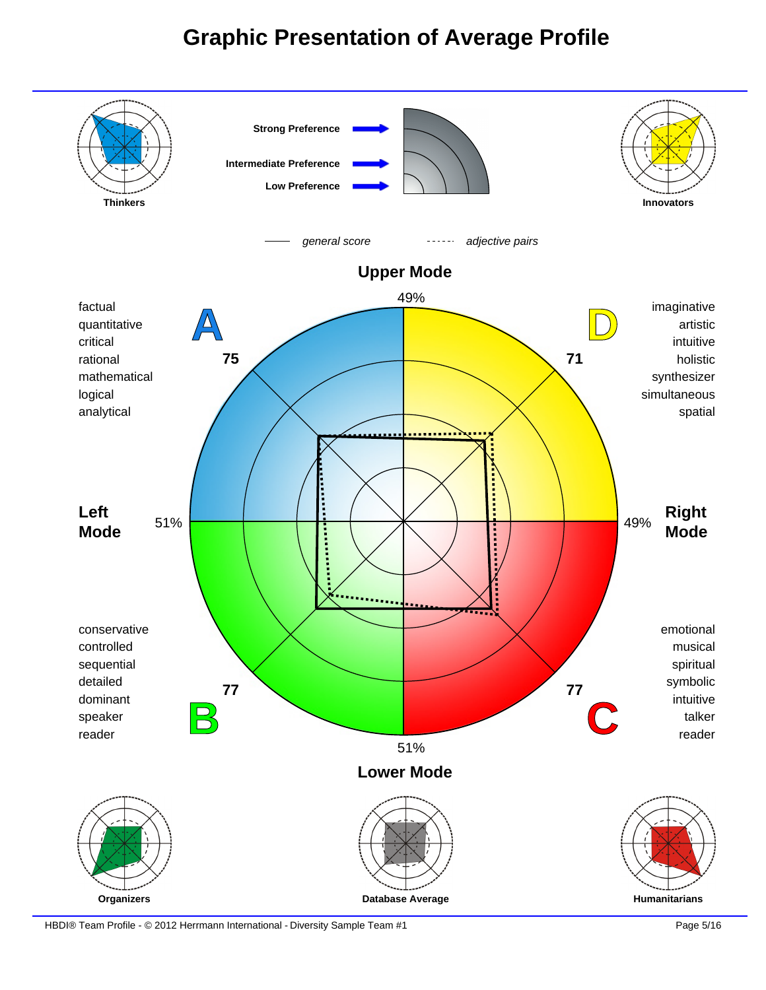### **Graphic Presentation of Average Profile**



HBDI® Team Profile - © 2012 Herrmann International - Diversity Sample Team #1 Page 5/16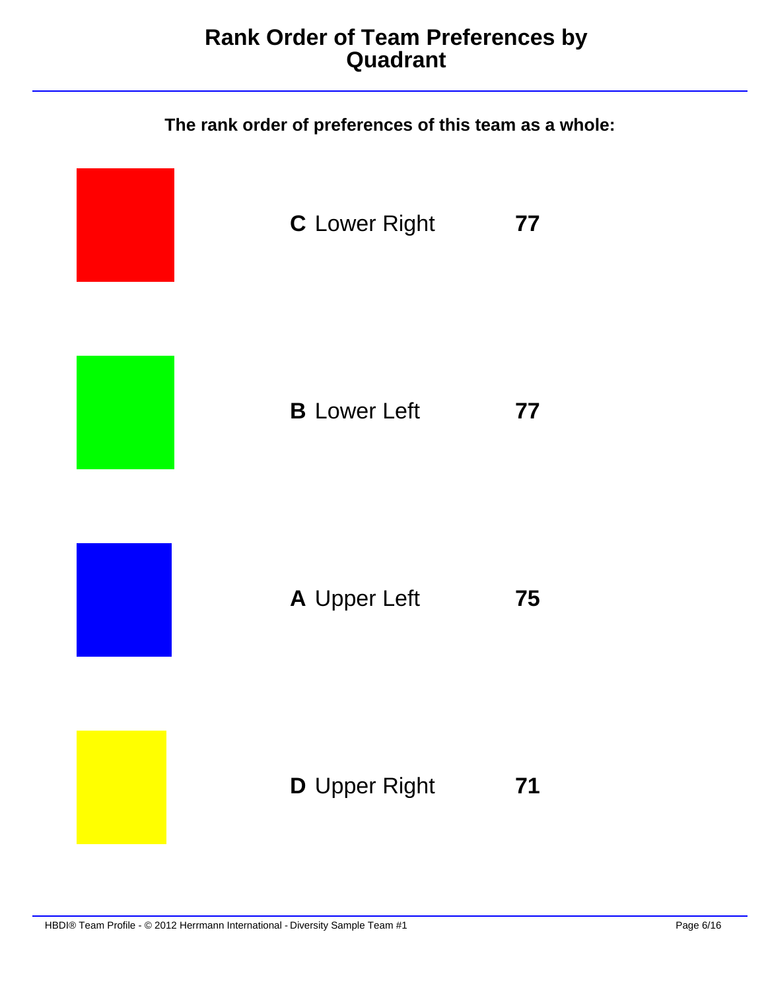#### **Rank Order of Team Preferences by Quadrant**

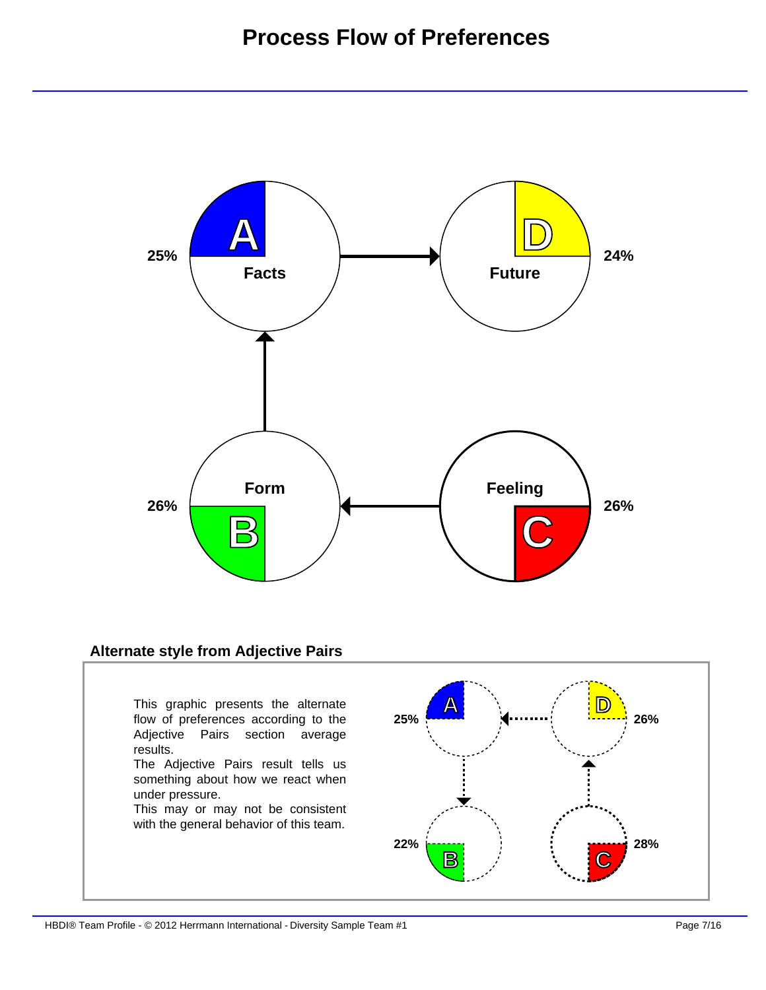

#### **Alternate style from Adjective Pairs**

This graphic presents the alternate flow of preferences according to the Adjective Pairs section average results.

The Adjective Pairs result tells us something about how we react when under pressure.

This may or may not be consistent with the general behavior of this team.

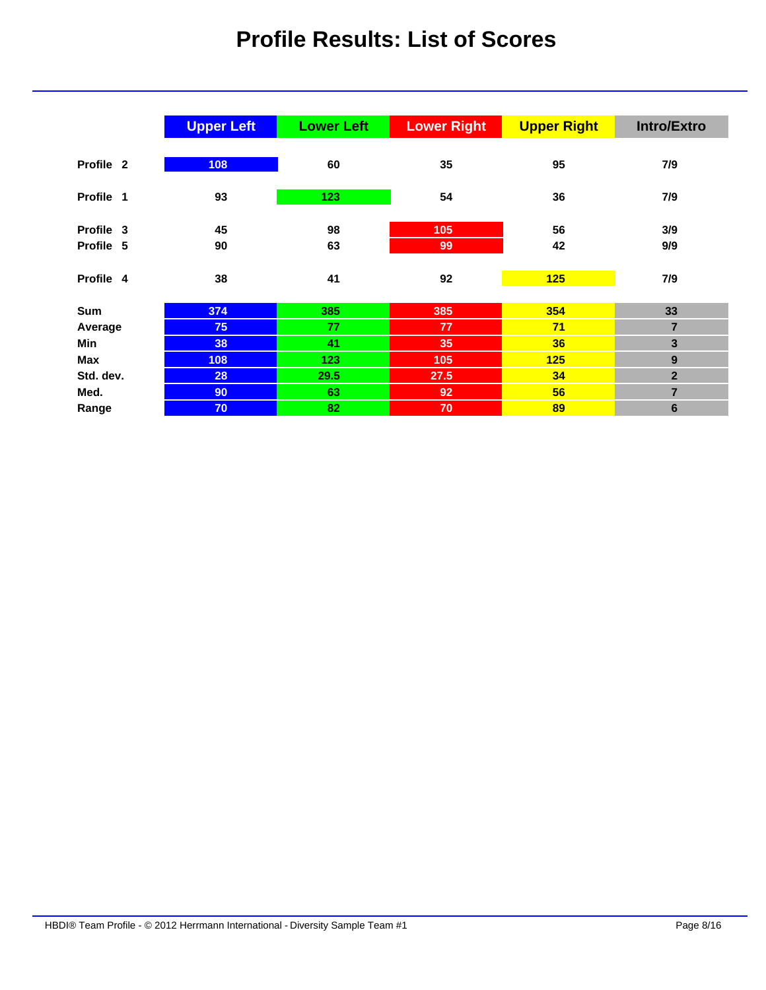### **Profile Results: List of Scores**

|           | <b>Upper Left</b> | <b>Lower Left</b> | <b>Lower Right</b> | <b>Upper Right</b> | <b>Intro/Extro</b> |
|-----------|-------------------|-------------------|--------------------|--------------------|--------------------|
|           |                   |                   |                    |                    |                    |
| Profile 2 | 108               | 60                | 35                 | 95                 | 7/9                |
|           |                   |                   |                    |                    |                    |
| Profile 1 | 93                | 123               | 54                 | 36                 | 7/9                |
|           |                   |                   |                    |                    |                    |
| Profile 3 | 45                | 98                | 105                | 56                 | 3/9                |
| Profile 5 | 90                | 63                | 99                 | 42                 | 9/9                |
|           |                   |                   |                    |                    |                    |
| Profile 4 | 38                | 41                | 92                 | 125                | 7/9                |
|           |                   |                   |                    |                    |                    |
| Sum       | 374               | 385               | 385                | 354                | 33                 |
| Average   | 75                | 77                | 77                 | 71                 | $\overline{7}$     |
| Min       | 38                | 41                | 35                 | 36                 | $\mathbf{3}$       |
| Max       | 108               | 123               | 105                | 125                | $\boldsymbol{9}$   |
| Std. dev. | 28                | 29.5              | 27.5               | 34                 | $\overline{2}$     |
| Med.      | 90                | 63                | 92                 | 56                 | $\overline{7}$     |
| Range     | 70                | 82                | 70                 | 89                 | $6\phantom{1}6$    |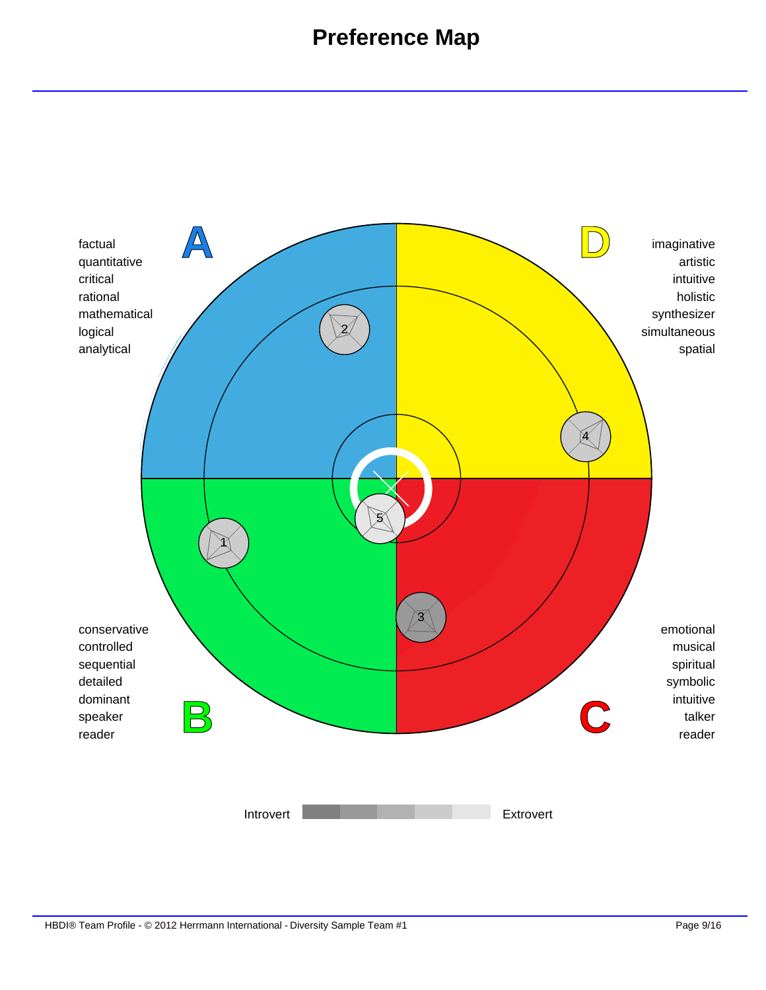### **Preference Map**

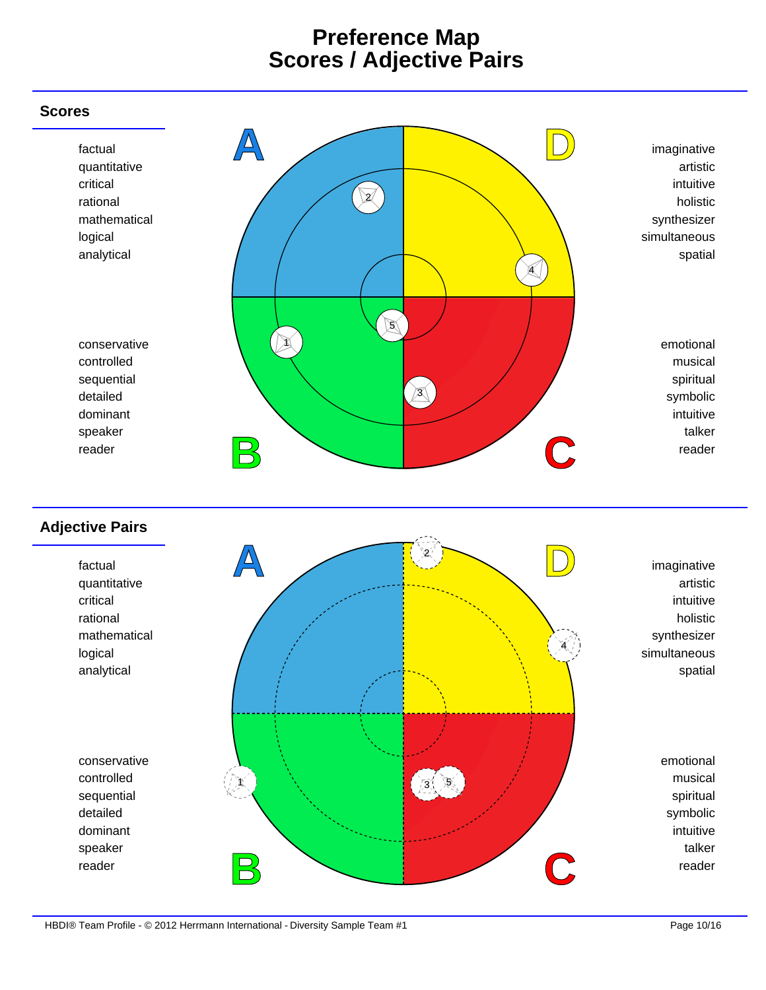#### **Preference Map Scores / Adjective Pairs**

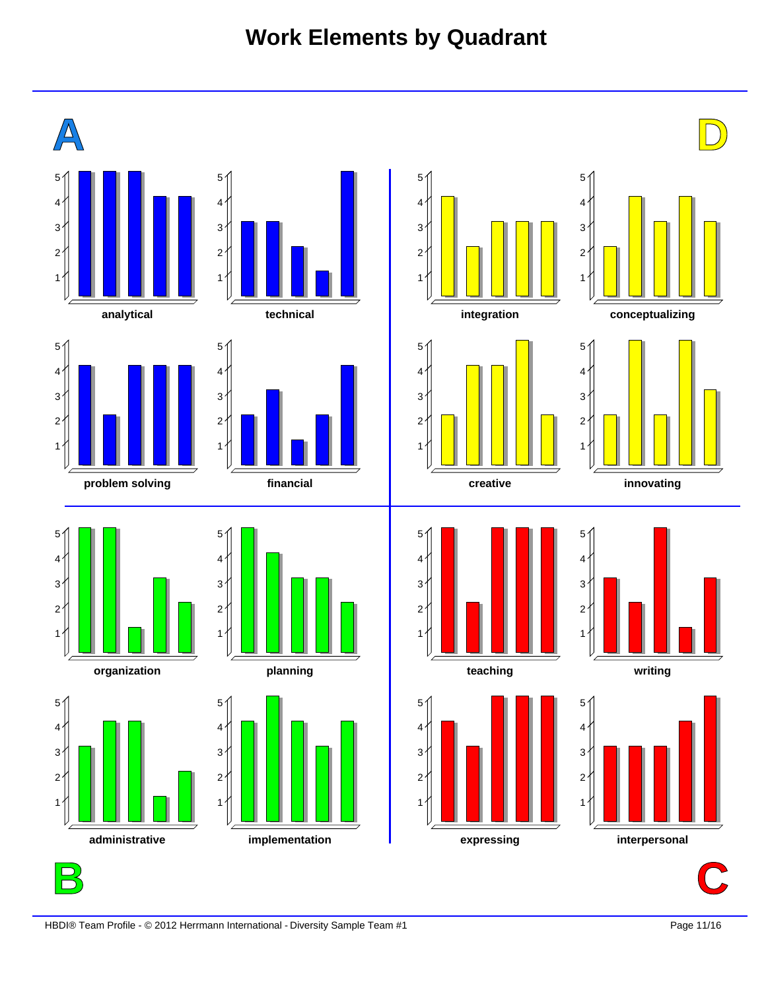# **Work Elements by Quadrant**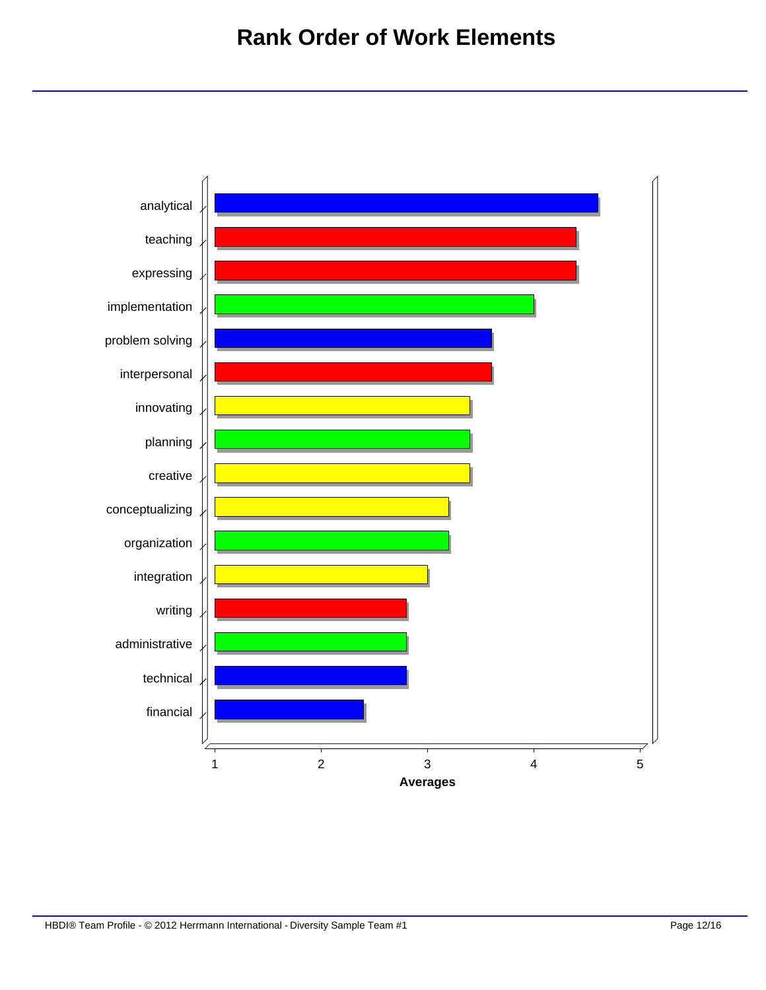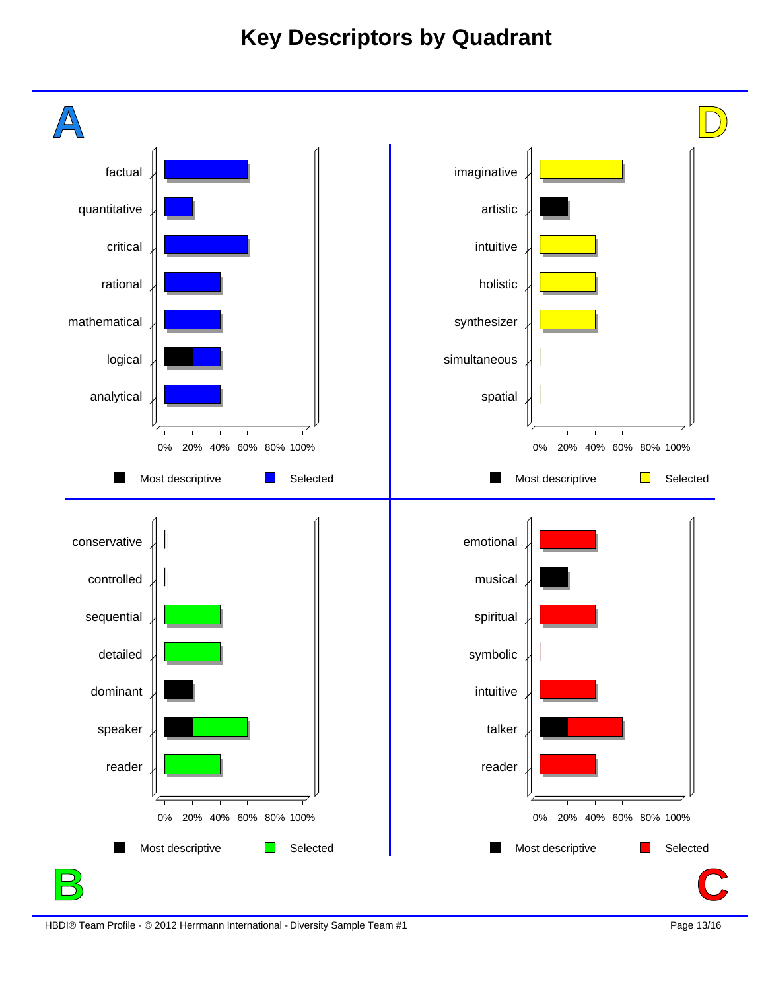### **Key Descriptors by Quadrant**

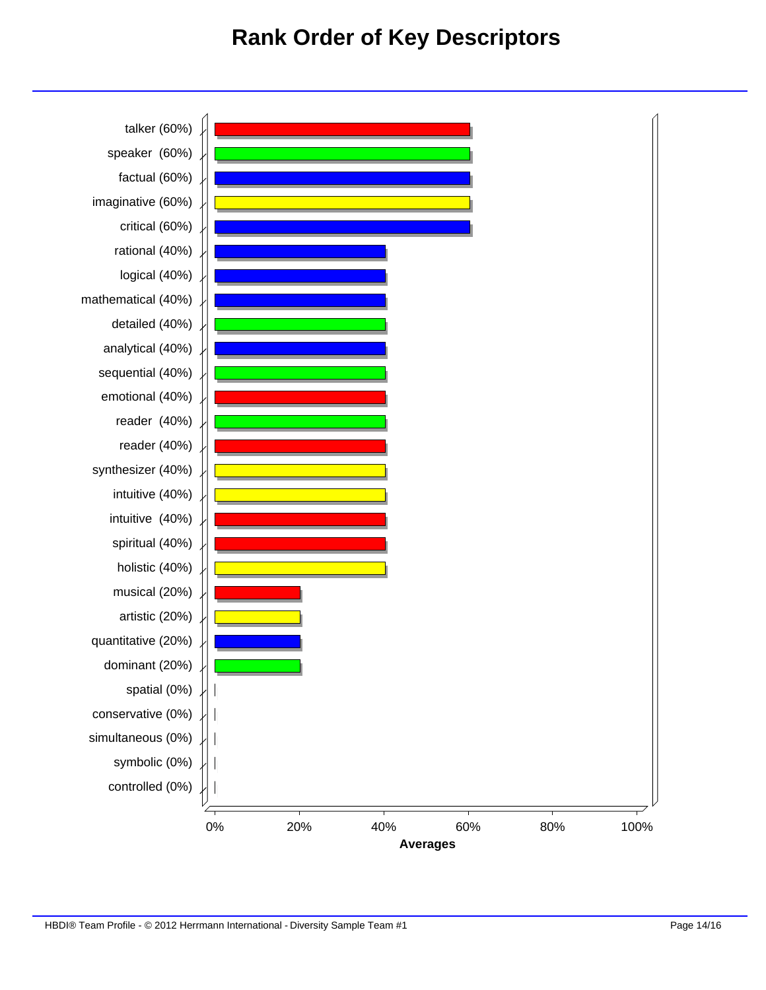#### **Rank Order of Key Descriptors**

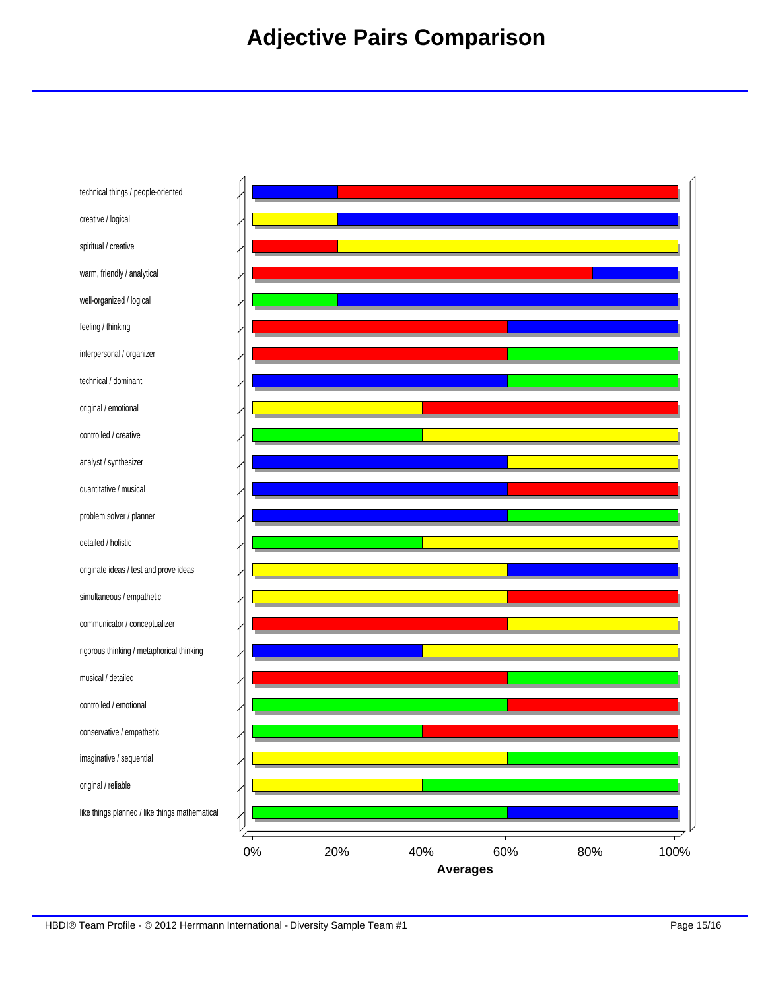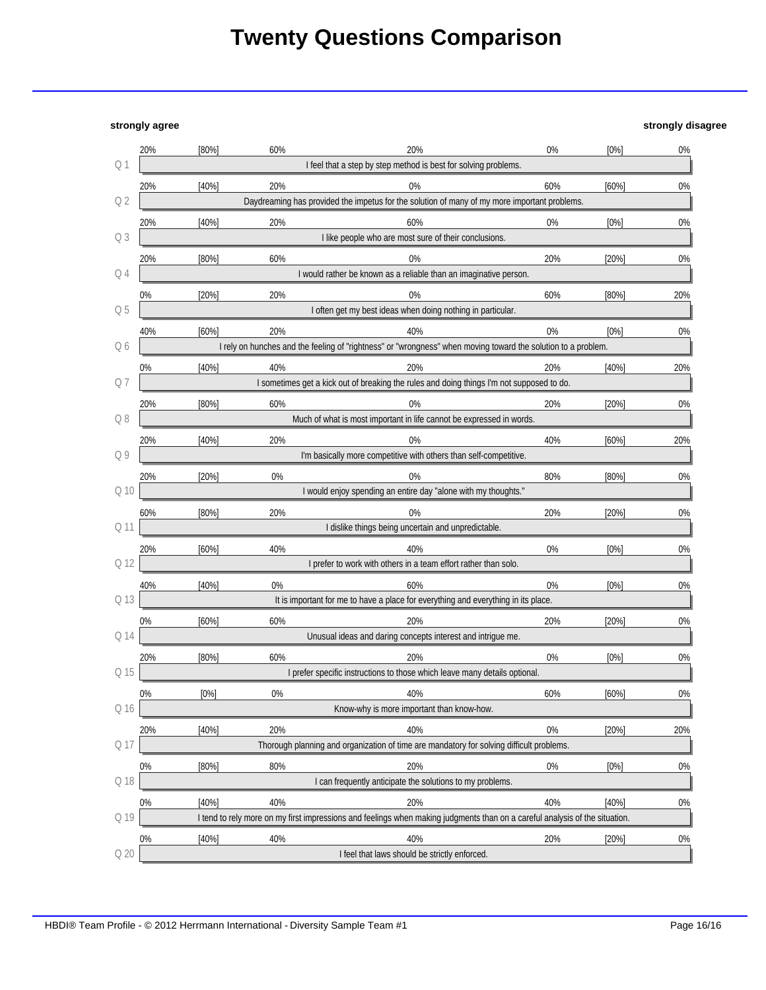## **Twenty Questions Comparison**

**strongly agree strongly disagree**

|                 | 20%                                                             | $[80\%]$ | 60%   | 20%                                                                                                                         | 0%    | [0%]     | 0%  |
|-----------------|-----------------------------------------------------------------|----------|-------|-----------------------------------------------------------------------------------------------------------------------------|-------|----------|-----|
| Q1              | I feel that a step by step method is best for solving problems. |          |       |                                                                                                                             |       |          |     |
|                 | 20%                                                             | [40%]    | 20%   | $0\%$                                                                                                                       | 60%   | $[60\%]$ | 0%  |
| Q2              |                                                                 |          |       | Daydreaming has provided the impetus for the solution of many of my more important problems.                                |       |          |     |
|                 | 20%                                                             | [40%]    | 20%   | 60%                                                                                                                         | 0%    | [0%]     | 0%  |
| Q <sub>3</sub>  |                                                                 |          |       | I like people who are most sure of their conclusions.                                                                       |       |          |     |
|                 | 20%                                                             | [80%]    | 60%   | $0\%$                                                                                                                       | 20%   | [20%]    | 0%  |
| Q4              |                                                                 |          |       | I would rather be known as a reliable than an imaginative person.                                                           |       |          |     |
|                 | 0%                                                              | $[20\%]$ | 20%   | $0\%$                                                                                                                       | 60%   | $[80\%]$ | 20% |
| Q 5             |                                                                 |          |       | I often get my best ideas when doing nothing in particular.                                                                 |       |          |     |
|                 | 40%                                                             | [60%]    | 20%   | 40%                                                                                                                         | 0%    | [0%]     | 0%  |
| Q 6             |                                                                 |          |       | I rely on hunches and the feeling of "rightness" or "wrongness" when moving toward the solution to a problem.               |       |          |     |
|                 | 0%                                                              | [40%]    | 40%   | 20%                                                                                                                         | 20%   | [40%]    | 20% |
| Q7              |                                                                 |          |       | I sometimes get a kick out of breaking the rules and doing things I'm not supposed to do.                                   |       |          |     |
|                 | 20%                                                             | $[80\%]$ | 60%   | $0\%$                                                                                                                       | 20%   | [20%]    | 0%  |
| Q8              |                                                                 |          |       | Much of what is most important in life cannot be expressed in words.                                                        |       |          |     |
|                 | 20%                                                             | [40%]    | 20%   | $0\%$                                                                                                                       | 40%   | $[60\%]$ | 20% |
| Q9              |                                                                 |          |       | I'm basically more competitive with others than self-competitive.                                                           |       |          |     |
|                 | 20%                                                             | $[20\%]$ | $0\%$ | $0\%$                                                                                                                       | 80%   | [80%]    | 0%  |
| Q 10            |                                                                 |          |       | I would enjoy spending an entire day "alone with my thoughts."                                                              |       |          |     |
|                 | 60%                                                             | [80%]    | 20%   | $0\%$                                                                                                                       | 20%   | [20%]    | 0%  |
| Q 11            |                                                                 |          |       | I dislike things being uncertain and unpredictable.                                                                         |       |          |     |
|                 | 20%                                                             | $[60\%]$ | 40%   | 40%                                                                                                                         | 0%    | [0%]     | 0%  |
| Q 12            |                                                                 |          |       | I prefer to work with others in a team effort rather than solo.                                                             |       |          |     |
|                 | 40%                                                             | [40%]    | 0%    | 60%                                                                                                                         | 0%    | [0%]     | 0%  |
| Q 13            |                                                                 |          |       | It is important for me to have a place for everything and everything in its place.                                          |       |          |     |
|                 | 0%                                                              | [60%]    | 60%   | 20%                                                                                                                         | 20%   | [20%]    | 0%  |
| Q 14            |                                                                 |          |       | Unusual ideas and daring concepts interest and intrigue me.                                                                 |       |          |     |
|                 | 20%                                                             | $[80\%]$ | 60%   | 20%                                                                                                                         | $0\%$ | [0%]     | 0%  |
| Q 15            |                                                                 |          |       | I prefer specific instructions to those which leave many details optional.                                                  |       |          |     |
|                 | 0%                                                              | [0%]     | $0\%$ | 40%                                                                                                                         | 60%   | [60%]    | 0%  |
| Q 16            |                                                                 |          |       | Know-why is more important than know-how.                                                                                   |       |          |     |
|                 |                                                                 |          | 20%   | 40%                                                                                                                         | 0%    |          |     |
| Q 17            | 20%                                                             | [40%]    |       | Thorough planning and organization of time are mandatory for solving difficult problems.                                    |       | [20%]    | 20% |
|                 |                                                                 |          |       |                                                                                                                             |       |          |     |
| Q 18            | 0%                                                              | [80%]    | 80%   | 20%<br>I can frequently anticipate the solutions to my problems.                                                            | 0%    | [0%]     | 0%  |
|                 |                                                                 |          |       |                                                                                                                             |       |          |     |
| Q 19            | 0%                                                              | [40%]    | 40%   | 20%                                                                                                                         | 40%   | [40%]    | 0%  |
|                 |                                                                 |          |       | I tend to rely more on my first impressions and feelings when making judgments than on a careful analysis of the situation. |       |          |     |
|                 | 0%                                                              | [40%]    | 40%   | 40%                                                                                                                         | 20%   | [20%]    | 0%  |
| Q <sub>20</sub> |                                                                 |          |       | I feel that laws should be strictly enforced.                                                                               |       |          |     |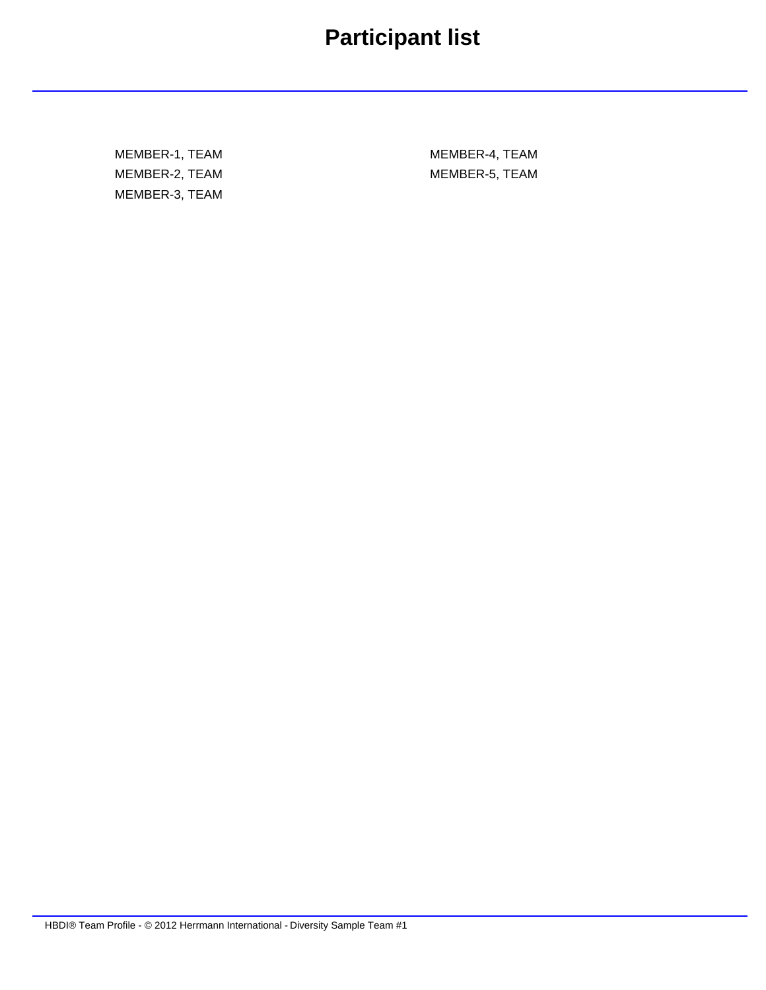## **Participant list**

MEMBER-1, TEAM MEMBER-2, TEAM MEMBER-3, TEAM

MEMBER-4, TEAM MEMBER-5, TEAM